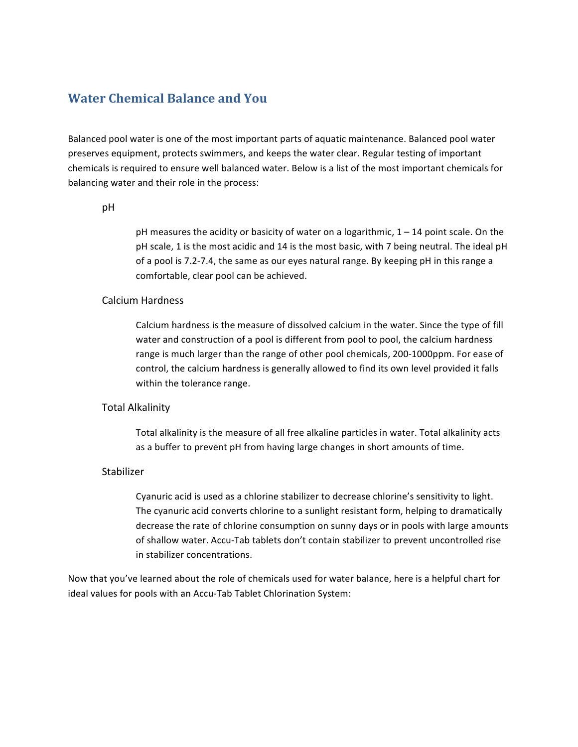# **Water Chemical Balance and You**

Balanced pool water is one of the most important parts of aquatic maintenance. Balanced pool water preserves equipment, protects swimmers, and keeps the water clear. Regular testing of important chemicals is required to ensure well balanced water. Below is a list of the most important chemicals for balancing water and their role in the process:

#### pH

pH measures the acidity or basicity of water on a logarithmic,  $1 - 14$  point scale. On the pH scale, 1 is the most acidic and 14 is the most basic, with 7 being neutral. The ideal pH of a pool is 7.2-7.4, the same as our eyes natural range. By keeping  $pH$  in this range a comfortable, clear pool can be achieved.

#### Calcium Hardness

Calcium hardness is the measure of dissolved calcium in the water. Since the type of fill water and construction of a pool is different from pool to pool, the calcium hardness range is much larger than the range of other pool chemicals, 200-1000ppm. For ease of control, the calcium hardness is generally allowed to find its own level provided it falls within the tolerance range.

#### **Total Alkalinity**

Total alkalinity is the measure of all free alkaline particles in water. Total alkalinity acts as a buffer to prevent pH from having large changes in short amounts of time.

### Stabilizer

Cyanuric acid is used as a chlorine stabilizer to decrease chlorine's sensitivity to light. The cyanuric acid converts chlorine to a sunlight resistant form, helping to dramatically decrease the rate of chlorine consumption on sunny days or in pools with large amounts of shallow water. Accu-Tab tablets don't contain stabilizer to prevent uncontrolled rise in stabilizer concentrations.

Now that you've learned about the role of chemicals used for water balance, here is a helpful chart for ideal values for pools with an Accu-Tab Tablet Chlorination System: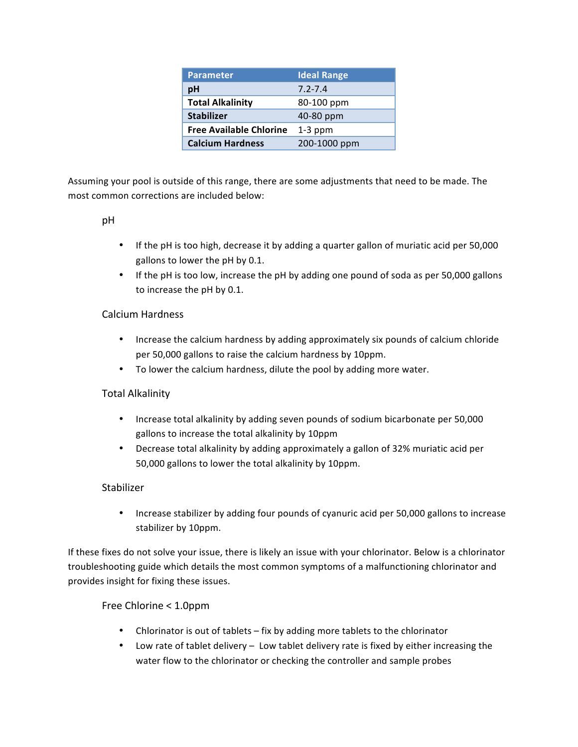| <b>Parameter</b>               | <b>Ideal Range</b> |
|--------------------------------|--------------------|
| рH                             | $7.2 - 7.4$        |
| <b>Total Alkalinity</b>        | 80-100 ppm         |
| <b>Stabilizer</b>              | 40-80 ppm          |
| <b>Free Available Chlorine</b> | $1-3$ ppm          |
| <b>Calcium Hardness</b>        | 200-1000 ppm       |

Assuming your pool is outside of this range, there are some adjustments that need to be made. The most common corrections are included below:

### pH

- If the pH is too high, decrease it by adding a quarter gallon of muriatic acid per 50,000 gallons to lower the pH by 0.1.
- If the pH is too low, increase the pH by adding one pound of soda as per 50,000 gallons to increase the pH by 0.1.

## Calcium Hardness

- Increase the calcium hardness by adding approximately six pounds of calcium chloride per 50,000 gallons to raise the calcium hardness by 10ppm.
- To lower the calcium hardness, dilute the pool by adding more water.

## Total Alkalinity

- Increase total alkalinity by adding seven pounds of sodium bicarbonate per 50,000 gallons to increase the total alkalinity by 10ppm
- Decrease total alkalinity by adding approximately a gallon of 32% muriatic acid per 50,000 gallons to lower the total alkalinity by 10ppm.

## Stabilizer

• Increase stabilizer by adding four pounds of cyanuric acid per 50,000 gallons to increase stabilizer by 10ppm.

If these fixes do not solve your issue, there is likely an issue with your chlorinator. Below is a chlorinator troubleshooting guide which details the most common symptoms of a malfunctioning chlorinator and provides insight for fixing these issues.

## Free Chlorine < 1.0ppm

- Chlorinator is out of tablets  $-$  fix by adding more tablets to the chlorinator
- Low rate of tablet delivery Low tablet delivery rate is fixed by either increasing the water flow to the chlorinator or checking the controller and sample probes